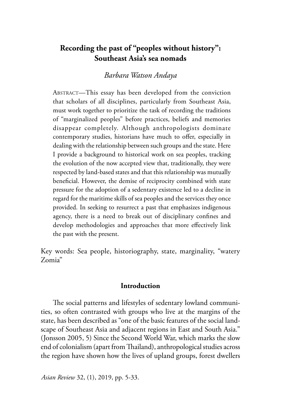# **Recording the past of "peoples without history": Southeast Asia's sea nomads**

# *Barbara Watson Andaya*

ABSTRACT—This essay has been developed from the conviction that scholars of all disciplines, particularly from Southeast Asia, must work together to prioritize the task of recording the traditions of "marginalized peoples" before practices, beliefs and memories disappear completely. Although anthropologists dominate contemporary studies, historians have much to offer, especially in dealing with the relationship between such groups and the state. Here I provide a background to historical work on sea peoples, tracking the evolution of the now accepted view that, traditionally, they were respected by land-based states and that this relationship was mutually beneficial. However, the demise of reciprocity combined with state pressure for the adoption of a sedentary existence led to a decline in regard for the maritime skills of sea peoples and the services they once provided. In seeking to resurrect a past that emphasizes indigenous agency, there is a need to break out of disciplinary confines and develop methodologies and approaches that more effectively link the past with the present.

Key words: Sea people, historiography, state, marginality, "watery Zomia"

### **Introduction**

The social patterns and lifestyles of sedentary lowland communities, so often contrasted with groups who live at the margins of the state, has been described as "one of the basic features of the social landscape of Southeast Asia and adjacent regions in East and South Asia." (Jonsson 2005, 5) Since the Second World War, which marks the slow end of colonialism (apart from Thailand), anthropological studies across the region have shown how the lives of upland groups, forest dwellers

*Asian Review* 32, (1), 2019, pp. 5-33.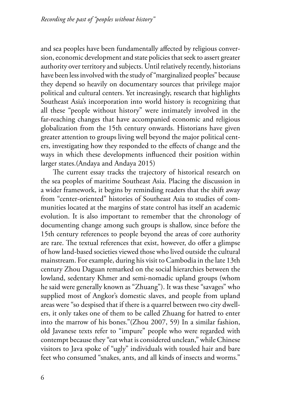and sea peoples have been fundamentally affected by religious conversion, economic development and state policies that seek to assert greater authority over territory and subjects. Until relatively recently, historians have been less involved with the study of "marginalized peoples" because they depend so heavily on documentary sources that privilege major political and cultural centers. Yet increasingly, research that highlights Southeast Asia's incorporation into world history is recognizing that all these "people without history" were intimately involved in the far-reaching changes that have accompanied economic and religious globalization from the 15th century onwards. Historians have given greater attention to groups living well beyond the major political centers, investigating how they responded to the effects of change and the ways in which these developments influenced their position within larger states.(Andaya and Andaya 2015)

The current essay tracks the trajectory of historical research on the sea peoples of maritime Southeast Asia. Placing the discussion in a wider framework, it begins by reminding readers that the shift away from "center-oriented" histories of Southeast Asia to studies of communities located at the margins of state control has itself an academic evolution. It is also important to remember that the chronology of documenting change among such groups is shallow, since before the 15th century references to people beyond the areas of core authority are rare. The textual references that exist, however, do offer a glimpse of how land-based societies viewed those who lived outside the cultural mainstream. For example, during his visit to Cambodia in the late 13th century Zhou Daguan remarked on the social hierarchies between the lowland, sedentary Khmer and semi-nomadic upland groups (whom he said were generally known as "Zhuang"). It was these "savages" who supplied most of Angkor's domestic slaves, and people from upland areas were "so despised that if there is a quarrel between two city dwellers, it only takes one of them to be called Zhuang for hatred to enter into the marrow of his bones."(Zhou 2007, 59) In a similar fashion, old Javanese texts refer to "impure" people who were regarded with contempt because they "eat what is considered unclean," while Chinese visitors to Java spoke of "ugly" individuals with tousled hair and bare feet who consumed "snakes, ants, and all kinds of insects and worms."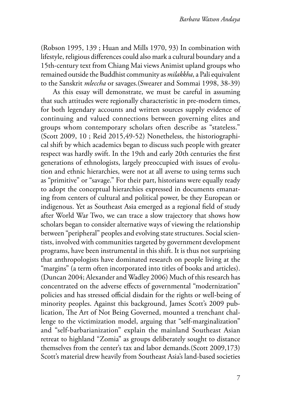(Robson 1995, 139 ; Huan and Mills 1970, 93) In combination with lifestyle, religious differences could also mark a cultural boundary and a 15th-century text from Chiang Mai views Animist upland groups who remained outside the Buddhist community as *milakkha*, a Pali equivalent to the Sanskrit *mleccha* or savages.(Swearer and Sommai 1998, 38-39)

As this essay will demonstrate, we must be careful in assuming that such attitudes were regionally characteristic in pre-modern times, for both legendary accounts and written sources supply evidence of continuing and valued connections between governing elites and groups whom contemporary scholars often describe as "stateless." (Scott 2009, 10 ; Reid 2015,49-52) Nonetheless, the historiographical shift by which academics began to discuss such people with greater respect was hardly swift. In the 19th and early 20th centuries the first generations of ethnologists, largely preoccupied with issues of evolution and ethnic hierarchies, were not at all averse to using terms such as "primitive" or "savage." For their part, historians were equally ready to adopt the conceptual hierarchies expressed in documents emanating from centers of cultural and political power, be they European or indigenous. Yet as Southeast Asia emerged as a regional field of study after World War Two, we can trace a slow trajectory that shows how scholars began to consider alternative ways of viewing the relationship between "peripheral" peoples and evolving state structures. Social scientists, involved with communities targeted by government development programs, have been instrumental in this shift. It is thus not surprising that anthropologists have dominated research on people living at the "margins" (a term often incorporated into titles of books and articles). (Duncan 2004; Alexander and Wadley 2006) Much of this research has concentrated on the adverse effects of governmental "modernization" policies and has stressed official disdain for the rights or well-being of minority peoples. Against this background, James Scott's 2009 publication, The Art of Not Being Governed, mounted a trenchant challenge to the victimization model, arguing that "self-marginalization" and "self-barbarianization" explain the mainland Southeast Asian retreat to highland "Zomia" as groups deliberately sought to distance themselves from the center's tax and labor demands.(Scott 2009,173) Scott's material drew heavily from Southeast Asia's land-based societies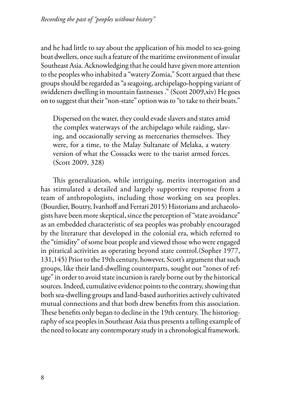and he had little to say about the application of his model to sea-going boat dwellers, once such a feature of the maritime environment of insular Southeast Asia. Acknowledging that he could have given more attention to the peoples who inhabited a "watery Zomia," Scott argued that these groups should be regarded as "a seagoing, archipelago-hopping variant of swiddeners dwelling in mountain fastnesses ." (Scott 2009,xiv) He goes on to suggest that their "non-state" option was to "to take to their boats."

Dispersed on the water, they could evade slavers and states amid the complex waterways of the archipelago while raiding, slaving, and occasionally serving as mercenaries themselves. They were, for a time, to the Malay Sultanate of Melaka, a watery version of what the Cossacks were to the tsarist armed forces. (Scott 2009, 328)

This generalization, while intriguing, merits interrogation and has stimulated a detailed and largely supportive response from a team of anthropologists, including those working on sea peoples. (Bourdier, Boutry, Ivanhoff and Ferrari 2015) Historians and archaeologists have been more skeptical, since the perception of "state avoidance" as an embedded characteristic of sea peoples was probably encouraged by the literature that developed in the colonial era, which referred to the "timidity" of some boat people and viewed those who were engaged in piratical activities as operating beyond state control.(Sopher 1977, 131,145) Prior to the 19th century, however, Scott's argument that such groups, like their land-dwelling counterparts, sought out "zones of refuge" in order to avoid state incursion is rarely borne out by the historical sources. Indeed, cumulative evidence points to the contrary, showing that both sea-dwelling groups and land-based authorities actively cultivated mutual connections and that both drew benefits from this association. These benefits only began to decline in the 19th century. The historiography of sea peoples in Southeast Asia thus presents a telling example of the need to locate any contemporary study in a chronological framework.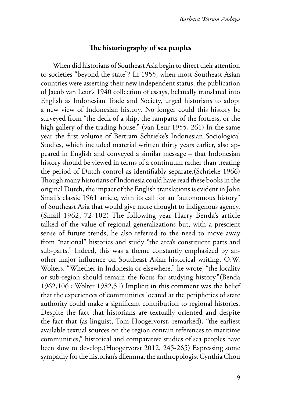# **The historiography of sea peoples**

When did historians of Southeast Asia begin to direct their attention to societies "beyond the state"? In 1955, when most Southeast Asian countries were asserting their new independent status, the publication of Jacob van Leur's 1940 collection of essays, belatedly translated into English as Indonesian Trade and Society, urged historians to adopt a new view of Indonesian history. No longer could this history be surveyed from "the deck of a ship, the ramparts of the fortress, or the high gallery of the trading house." (van Leur 1955, 261) In the same year the first volume of Bertram Schrieke's Indonesian Sociological Studies, which included material written thirty years earlier, also appeared in English and conveyed a similar message – that Indonesian history should be viewed in terms of a continuum rather than treating the period of Dutch control as identifiably separate.(Schrieke 1966) Though many historians of Indonesia could have read these books in the original Dutch, the impact of the English translations is evident in John Smail's classic 1961 article, with its call for an "autonomous history" of Southeast Asia that would give more thought to indigenous agency. (Smail 1962, 72-102) The following year Harry Benda's article talked of the value of regional generalizations but, with a prescient sense of future trends, he also referred to the need to move away from "national" histories and study "the area's constituent parts and sub-parts." Indeed, this was a theme constantly emphasized by another major influence on Southeast Asian historical writing, O.W. Wolters. "Whether in Indonesia or elsewhere," he wrote, "the locality or sub-region should remain the focus for studying history."(Benda 1962,106 ; Wolter 1982,51) Implicit in this comment was the belief that the experiences of communities located at the peripheries of state authority could make a significant contribution to regional histories. Despite the fact that historians are textually oriented and despite the fact that (as linguist, Tom Hoogervorst, remarked), "the earliest available textual sources on the region contain references to maritime communities," historical and comparative studies of sea peoples have been slow to develop.(Hoogervorst 2012, 245-265) Expressing some sympathy for the historian's dilemma, the anthropologist Cynthia Chou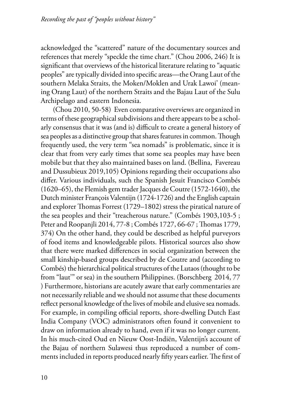acknowledged the "scattered" nature of the documentary sources and references that merely "speckle the time chart." (Chou 2006, 246) It is significant that overviews of the historical literature relating to "aquatic peoples" are typically divided into specific areas—the Orang Laut of the southern Melaka Straits, the Moken/Moklen and Urak Lawoi' (meaning Orang Laut) of the northern Straits and the Bajau Laut of the Sulu Archipelago and eastern Indonesia.

(Chou 2010, 50-58) Even comparative overviews are organized in terms of these geographical subdivisions and there appears to be a scholarly consensus that it was (and is) difficult to create a general history of sea peoples as a distinctive group that shares features in common. Though frequently used, the very term "sea nomads" is problematic, since it is clear that from very early times that some sea peoples may have been mobile but that they also maintained bases on land. (Bellina, Favereau and Dussubieux 2019,105) Opinions regarding their occupations also differ. Various individuals, such the Spanish Jesuit Francisco Combés (1620–65), the Flemish gem trader Jacques de Coutre (1572-1640), the Dutch minister François Valentijn (1724-1726) and the English captain and explorer Thomas Forrest (1729–1802) stress the piratical nature of the sea peoples and their "treacherous nature." (Combés 1903,103-5 ; Peter and Roopanjli 2014, 77-8 ; Combés 1727, 66-67 ; Thomas 1779, 374) On the other hand, they could be described as helpful purveyors of food items and knowledgeable pilots. Historical sources also show that there were marked differences in social organization between the small kinship-based groups described by de Coutre and (according to Combés) the hierarchical political structures of the Lutaos (thought to be from "laut'" or sea) in the southern Philippines. (Borschberg 2014, 77 ) Furthermore, historians are acutely aware that early commentaries are not necessarily reliable and we should not assume that these documents reflect personal knowledge of the lives of mobile and elusive sea nomads. For example, in compiling official reports, shore-dwelling Dutch East India Company (VOC) administrators often found it convenient to draw on information already to hand, even if it was no longer current. In his much-cited Oud en Nieuw Oost-Indiën, Valentijn's account of the Bajau of northern Sulawesi thus reproduced a number of comments included in reports produced nearly fifty years earlier. The first of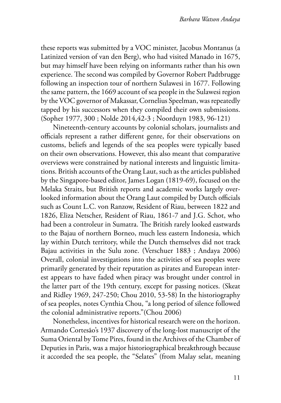these reports was submitted by a VOC minister, Jacobus Montanus (a Latinized version of van den Berg), who had visited Manado in 1675, but may himself have been relying on informants rather than his own experience. The second was compiled by Governor Robert Padtbrugge following an inspection tour of northern Sulawesi in 1677. Following the same pattern, the 1669 account of sea people in the Sulawesi region by the VOC governor of Makassar, Cornelius Speelman, was repeatedly tapped by his successors when they compiled their own submissions. (Sopher 1977, 300 ; Nolde 2014,42-3 ; Noorduyn 1983, 96-121)

Nineteenth-century accounts by colonial scholars, journalists and officials represent a rather different genre, for their observations on customs, beliefs and legends of the sea peoples were typically based on their own observations. However, this also meant that comparative overviews were constrained by national interests and linguistic limitations. British accounts of the Orang Laut, such as the articles published by the Singapore-based editor, James Logan (1819-69), focused on the Melaka Straits, but British reports and academic works largely overlooked information about the Orang Laut compiled by Dutch officials such as Count L.C. von Ranzow, Resident of Riau, between 1822 and 1826, Eliza Netscher, Resident of Riau, 1861-7 and J.G. Schot, who had been a controleur in Sumatra. The British rarely looked eastwards to the Bajau of northern Borneo, much less eastern Indonesia, which lay within Dutch territory, while the Dutch themselves did not track Bajau activities in the Sulu zone. (Verschuer 1883 ; Andaya 2006) Overall, colonial investigations into the activities of sea peoples were primarily generated by their reputation as pirates and European interest appears to have faded when piracy was brought under control in the latter part of the 19th century, except for passing notices. (Skeat and Ridley 1969, 247-250; Chou 2010, 53-58) In the historiography of sea peoples, notes Cynthia Chou, "a long period of silence followed the colonial administrative reports."(Chou 2006)

Nonetheless, incentives for historical research were on the horizon. Armando Cortesão's 1937 discovery of the long-lost manuscript of the Suma Oriental by Tome Pires, found in the Archives of the Chamber of Deputies in Paris, was a major historiographical breakthrough because it accorded the sea people, the "Selates" (from Malay selat, meaning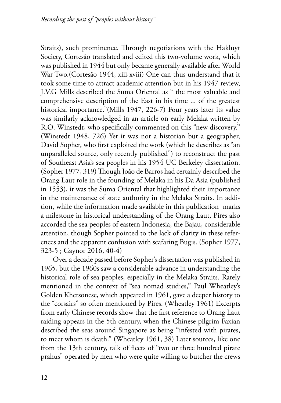Straits), such prominence. Through negotiations with the Hakluyt Society, Cortesão translated and edited this two-volume work, which was published in 1944 but only became generally available after World War Two.(Cortesão 1944, xiii-xviii) One can thus understand that it took some time to attract academic attention but in his 1947 review, J.V.G Mills described the Suma Oriental as " the most valuable and comprehensive description of the East in his time ... of the greatest historical importance."(Mills 1947, 226-7) Four years later its value was similarly acknowledged in an article on early Melaka written by R.O. Winstedt, who specifically commented on this "new discovery." (Winstedt 1948, 726) Yet it was not a historian but a geographer, David Sopher, who first exploited the work (which he describes as "an unparalleled source, only recently published") to reconstruct the past of Southeast Asia's sea peoples in his 1954 UC Berkeley dissertation. (Sopher 1977, 319) Though João de Barros had certainly described the Orang Laut role in the founding of Melaka in his Da Asia (published in 1553), it was the Suma Oriental that highlighted their importance in the maintenance of state authority in the Melaka Straits. In addition, while the information made available in this publication marks a milestone in historical understanding of the Orang Laut, Pires also accorded the sea peoples of eastern Indonesia, the Bajau, considerable attention, though Sopher pointed to the lack of clarity in these references and the apparent confusion with seafaring Bugis. (Sopher 1977, 323-5 ; Gaynor 2016, 40-4)

Over a decade passed before Sopher's dissertation was published in 1965, but the 1960s saw a considerable advance in understanding the historical role of sea peoples, especially in the Melaka Straits. Rarely mentioned in the context of "sea nomad studies," Paul Wheatley's Golden Khersonese, which appeared in 1961, gave a deeper history to the "corsairs" so often mentioned by Pires. (Wheatley 1961) Excerpts from early Chinese records show that the first reference to Orang Laut raiding appears in the 5th century, when the Chinese pilgrim Faxian described the seas around Singapore as being "infested with pirates, to meet whom is death." (Wheatley 1961, 38) Later sources, like one from the 13th century, talk of fleets of "two or three hundred pirate prahus" operated by men who were quite willing to butcher the crews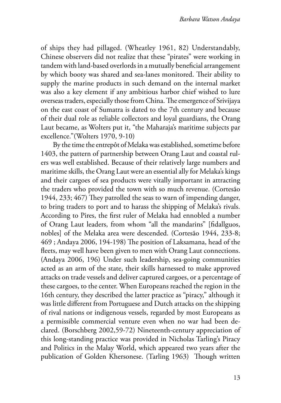of ships they had pillaged. (Wheatley 1961, 82) Understandably, Chinese observers did not realize that these "pirates" were working in tandem with land-based overlords in a mutually beneficial arrangement by which booty was shared and sea-lanes monitored. Their ability to supply the marine products in such demand on the internal market was also a key element if any ambitious harbor chief wished to lure overseas traders, especially those from China. The emergence of Srivijaya on the east coast of Sumatra is dated to the 7th century and because of their dual role as reliable collectors and loyal guardians, the Orang Laut became, as Wolters put it, "the Maharaja's maritime subjects par excellence."(Wolters 1970, 9-10)

By the time the entrepôt of Melaka was established, sometime before 1403, the pattern of partnership between Orang Laut and coastal rulers was well established. Because of their relatively large numbers and maritime skills, the Orang Laut were an essential ally for Melaka's kings and their cargoes of sea products were vitally important in attracting the traders who provided the town with so much revenue. (Cortesão 1944, 233; 467) They patrolled the seas to warn of impending danger, to bring traders to port and to harass the shipping of Melaka's rivals. According to Pires, the first ruler of Melaka had ennobled a number of Orang Laut leaders, from whom "all the mandarins" [fidallguos, nobles] of the Melaka area were descended. (Cortesão 1944, 233-8; 469 ; Andaya 2006, 194-198) The position of Laksamana, head of the fleets, may well have been given to men with Orang Laut connections. (Andaya 2006, 196) Under such leadership, sea-going communities acted as an arm of the state, their skills harnessed to make approved attacks on trade vessels and deliver captured cargoes, or a percentage of these cargoes, to the center. When Europeans reached the region in the 16th century, they described the latter practice as "piracy," although it was little different from Portuguese and Dutch attacks on the shipping of rival nations or indigenous vessels, regarded by most Europeans as a permissible commercial venture even when no war had been declared. (Borschberg 2002,59-72) Nineteenth-century appreciation of this long-standing practice was provided in Nicholas Tarling's Piracy and Politics in the Malay World, which appeared two years after the publication of Golden Khersonese. (Tarling 1963) Though written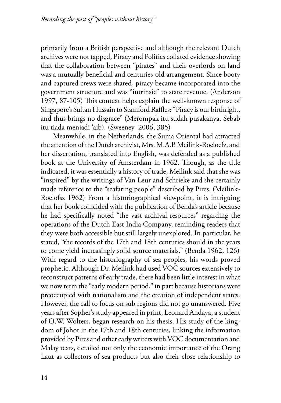primarily from a British perspective and although the relevant Dutch archives were not tapped, Piracy and Politics collated evidence showing that the collaboration between "pirates" and their overlords on land was a mutually beneficial and centuries-old arrangement. Since booty and captured crews were shared, piracy became incorporated into the government structure and was "intrinsic" to state revenue. (Anderson 1997, 87-105) This context helps explain the well-known response of Singapore's Sultan Hussain to Stamford Raffles: "Piracy is our birthright, and thus brings no disgrace" (Merompak itu sudah pusakanya. Sebab itu tiada menjadi 'aib). (Sweeney 2006, 385)

Meanwhile, in the Netherlands, the Suma Oriental had attracted the attention of the Dutch archivist, Mrs. M.A.P. Meilink-Roeloefz, and her dissertation, translated into English, was defended as a published book at the University of Amsterdam in 1962. Though, as the title indicated, it was essentially a history of trade, Meilink said that she was "inspired" by the writings of Van Leur and Schrieke and she certainly made reference to the "seafaring people" described by Pires. (Meilink-Roelofsz 1962) From a historiographical viewpoint, it is intriguing that her book coincided with the publication of Benda's article because he had specifically noted "the vast archival resources" regarding the operations of the Dutch East India Company, reminding readers that they were both accessible but still largely unexplored. In particular, he stated, "the records of the 17th and 18th centuries should in the years to come yield increasingly solid source materials." (Benda 1962, 126) With regard to the historiography of sea peoples, his words proved prophetic. Although Dr. Meilink had used VOC sources extensively to reconstruct patterns of early trade, there had been little interest in what we now term the "early modern period," in part because historians were preoccupied with nationalism and the creation of independent states. However, the call to focus on sub regions did not go unanswered. Five years after Sopher's study appeared in print, Leonard Andaya, a student of O.W. Wolters, began research on his thesis. His study of the kingdom of Johor in the 17th and 18th centuries, linking the information provided by Pires and other early writers with VOC documentation and Malay texts, detailed not only the economic importance of the Orang Laut as collectors of sea products but also their close relationship to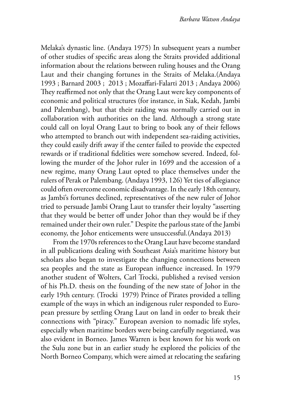Melaka's dynastic line. (Andaya 1975) In subsequent years a number of other studies of specific areas along the Straits provided additional information about the relations between ruling houses and the Orang Laut and their changing fortunes in the Straits of Melaka.(Andaya 1993 ; Barnard 2003 ; 2013 ; Mozaffari-Falarti 2013 ; Andaya 2006) They reaffirmed not only that the Orang Laut were key components of economic and political structures (for instance, in Siak, Kedah, Jambi and Palembang), but that their raiding was normally carried out in collaboration with authorities on the land. Although a strong state could call on loyal Orang Laut to bring to book any of their fellows who attempted to branch out with independent sea-raiding activities, they could easily drift away if the center failed to provide the expected rewards or if traditional fidelities were somehow severed. Indeed, following the murder of the Johor ruler in 1699 and the accession of a new regime, many Orang Laut opted to place themselves under the rulers of Perak or Palembang. (Andaya 1993, 126) Yet ties of allegiance could often overcome economic disadvantage. In the early 18th century, as Jambi's fortunes declined, representatives of the new ruler of Johor tried to persuade Jambi Orang Laut to transfer their loyalty "asserting that they would be better off under Johor than they would be if they remained under their own ruler." Despite the parlous state of the Jambi economy, the Johor enticements were unsuccessful.(Andaya 2013)

From the 1970s references to the Orang Laut have become standard in all publications dealing with Southeast Asia's maritime history but scholars also began to investigate the changing connections between sea peoples and the state as European influence increased. In 1979 another student of Wolters, Carl Trocki, published a revised version of his Ph.D. thesis on the founding of the new state of Johor in the early 19th century. (Trocki 1979) Prince of Pirates provided a telling example of the ways in which an indigenous ruler responded to European pressure by settling Orang Laut on land in order to break their connections with "piracy." European aversion to nomadic life styles, especially when maritime borders were being carefully negotiated, was also evident in Borneo. James Warren is best known for his work on the Sulu zone but in an earlier study he explored the policies of the North Borneo Company, which were aimed at relocating the seafaring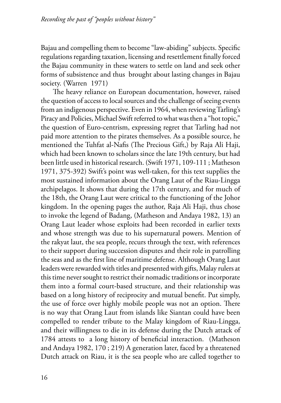Bajau and compelling them to become "law-abiding" subjects. Specific regulations regarding taxation, licensing and resettlement finally forced the Bajau community in these waters to settle on land and seek other forms of subsistence and thus brought about lasting changes in Bajau society. (Warren 1971)

The heavy reliance on European documentation, however, raised the question of access to local sources and the challenge of seeing events from an indigenous perspective. Even in 1964, when reviewing Tarling's Piracy and Policies, Michael Swift referred to what was then a "hot topic," the question of Euro-centrism, expressing regret that Tarling had not paid more attention to the pirates themselves. As a possible source, he mentioned the Tuhfat al-Nafis (The Precious Gift,) by Raja Ali Haji, which had been known to scholars since the late 19th century, but had been little used in historical research. (Swift 1971, 109-111 ; Matheson 1971, 375-392) Swift's point was well-taken, for this text supplies the most sustained information about the Orang Laut of the Riau-Lingga archipelagos. It shows that during the 17th century, and for much of the 18th, the Orang Laut were critical to the functioning of the Johor kingdom. In the opening pages the author, Raja Ali Haji, thus chose to invoke the legend of Badang, (Matheson and Andaya 1982, 13) an Orang Laut leader whose exploits had been recorded in earlier texts and whose strength was due to his supernatural powers. Mention of the rakyat laut, the sea people, recurs through the text, with references to their support during succession disputes and their role in patrolling the seas and as the first line of maritime defense. Although Orang Laut leaders were rewarded with titles and presented with gifts, Malay rulers at this time never sought to restrict their nomadic traditions or incorporate them into a formal court-based structure, and their relationship was based on a long history of reciprocity and mutual benefit. Put simply, the use of force over highly mobile people was not an option. There is no way that Orang Laut from islands like Siantan could have been compelled to render tribute to the Malay kingdom of Riau-Lingga, and their willingness to die in its defense during the Dutch attack of 1784 attests to a long history of beneficial interaction. (Matheson and Andaya 1982, 170 ; 219) A generation later, faced by a threatened Dutch attack on Riau, it is the sea people who are called together to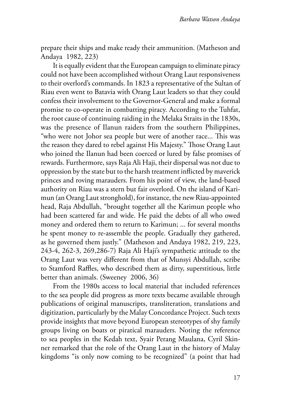prepare their ships and make ready their ammunition. (Matheson and Andaya 1982, 223)

It is equally evident that the European campaign to eliminate piracy could not have been accomplished without Orang Laut responsiveness to their overlord's commands. In 1823 a representative of the Sultan of Riau even went to Batavia with Orang Laut leaders so that they could confess their involvement to the Governor-General and make a formal promise to co-operate in combatting piracy. According to the Tuhfat, the root cause of continuing raiding in the Melaka Straits in the 1830s, was the presence of Ilanun raiders from the southern Philippines, "who were not Johor sea people but were of another race... This was the reason they dared to rebel against His Majesty." Those Orang Laut who joined the Ilanun had been coerced or lured by false promises of rewards. Furthermore, says Raja Ali Haji, their dispersal was not due to oppression by the state but to the harsh treatment inflicted by maverick princes and roving marauders. From his point of view, the land-based authority on Riau was a stern but fair overlord. On the island of Karimun (an Orang Laut stronghold), for instance, the new Riau-appointed head, Raja Abdullah, "brought together all the Karimun people who had been scattered far and wide. He paid the debts of all who owed money and ordered them to return to Karimun; ... for several months he spent money to re-assemble the people. Gradually they gathered, as he governed them justly." (Matheson and Andaya 1982, 219, 223, 243-4, 262-3, 269,286-7) Raja Ali Haji's sympathetic attitude to the Orang Laut was very different from that of Munsyi Abdullah, scribe to Stamford Raffles, who described them as dirty, superstitious, little better than animals. (Sweeney 2006, 36)

From the 1980s access to local material that included references to the sea people did progress as more texts became available through publications of original manuscripts, transliteration, translations and digitization, particularly by the Malay Concordance Project. Such texts provide insights that move beyond European stereotypes of shy family groups living on boats or piratical marauders. Noting the reference to sea peoples in the Kedah text, Syair Perang Maulana, Cyril Skinner remarked that the role of the Orang Laut in the history of Malay kingdoms "is only now coming to be recognized" (a point that had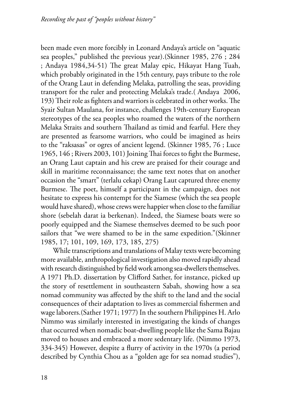been made even more forcibly in Leonard Andaya's article on "aquatic sea peoples," published the previous year).(Skinner 1985, 276 ; 284 ; Andaya 1984,34-51) The great Malay epic, Hikayat Hang Tuah, which probably originated in the 15th century, pays tribute to the role of the Orang Laut in defending Melaka, patrolling the seas, providing transport for the ruler and protecting Melaka's trade.( Andaya 2006, 193) Their role as fighters and warriors is celebrated in other works. The Syair Sultan Maulana, for instance, challenges 19th-century European stereotypes of the sea peoples who roamed the waters of the northern Melaka Straits and southern Thailand as timid and fearful. Here they are presented as fearsome warriors, who could be imagined as heirs to the "raksasas" or ogres of ancient legend. (Skinner 1985, 76 ; Luce 1965, 146 ; Rivers 2003, 101) Joining Thai forces to fight the Burmese, an Orang Laut captain and his crew are praised for their courage and skill in maritime reconnaissance; the same text notes that on another occasion the "smart" (terlalu cekap) Orang Laut captured three enemy Burmese. The poet, himself a participant in the campaign, does not hesitate to express his contempt for the Siamese (which the sea people would have shared), whose crews were happier when close to the familiar shore (sebelah darat ia berkenan). Indeed, the Siamese boats were so poorly equipped and the Siamese themselves deemed to be such poor sailors that "we were shamed to be in the same expedition."(Skinner 1985, 17; 101, 109, 169, 173, 185, 275)

While transcriptions and translations of Malay texts were becoming more available, anthropological investigation also moved rapidly ahead with research distinguished by field work among sea-dwellers themselves. A 1971 Ph.D. dissertation by Clifford Sather, for instance, picked up the story of resettlement in southeastern Sabah, showing how a sea nomad community was affected by the shift to the land and the social consequences of their adaptation to lives as commercial fishermen and wage laborers.(Sather 1971; 1977) In the southern Philippines H. Arlo Nimmo was similarly interested in investigating the kinds of changes that occurred when nomadic boat-dwelling people like the Sama Bajau moved to houses and embraced a more sedentary life. (Nimmo 1973, 334-345) However, despite a flurry of activity in the 1970s (a period described by Cynthia Chou as a "golden age for sea nomad studies"),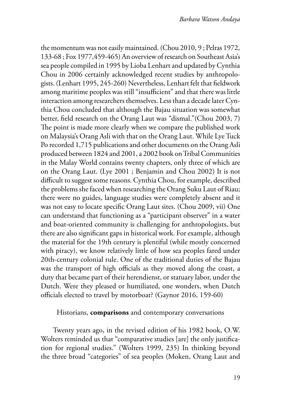the momentum was not easily maintained. (Chou 2010, 9 ; Pelras 1972, 133-68 ; Fox 1977,459-465) An overview of research on Southeast Asia's sea people compiled in 1995 by Lioba Lenhart and updated by Cynthia Chou in 2006 certainly acknowledged recent studies by anthropologists. (Lenhart 1995, 245-260) Nevertheless, Lenhart felt that fieldwork among maritime peoples was still "insufficient" and that there was little interaction among researchers themselves. Less than a decade later Cynthia Chou concluded that although the Bajau situation was somewhat better, field research on the Orang Laut was "dismal."(Chou 2003, 7) The point is made more clearly when we compare the published work on Malaysia's Orang Asli with that on the Orang Laut. While Lye Tuck Po recorded 1,715 publications and other documents on the Orang Asli produced between 1824 and 2001, a 2002 book on Tribal Communities in the Malay World contains twenty chapters, only three of which are on the Orang Laut. (Lye 2001 ; Benjamin and Chou 2002) It is not difficult to suggest some reasons. Cynthia Chou, for example, described the problems she faced when researching the Orang Suku Laut of Riau; there were no guides, language studies were completely absent and it was not easy to locate specific Orang Laut sites. (Chou 2009, vii) One can understand that functioning as a "participant observer" in a water and boat-oriented community is challenging for anthropologists, but there are also significant gaps in historical work. For example, although the material for the 19th century is plentiful (while mostly concerned with piracy), we know relatively little of how sea peoples fared under 20th-century colonial rule. One of the traditional duties of the Bajau was the transport of high officials as they moved along the coast, a duty that became part of their herendienst, or statuary labor, under the Dutch. Were they pleased or humiliated, one wonders, when Dutch officials elected to travel by motorboat? (Gaynor 2016, 159-60)

#### Historians, **comparisons** and contemporary conversations

Twenty years ago, in the revised edition of his 1982 book, O.W. Wolters reminded us that "comparative studies [are] the only justification for regional studies." (Wolters 1999, 235) In thinking beyond the three broad "categories" of sea peoples (Moken, Orang Laut and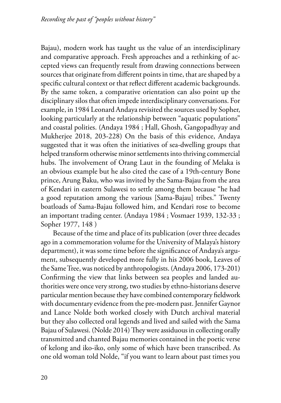Bajau), modern work has taught us the value of an interdisciplinary and comparative approach. Fresh approaches and a rethinking of accepted views can frequently result from drawing connections between sources that originate from different points in time, that are shaped by a specific cultural context or that reflect different academic backgrounds. By the same token, a comparative orientation can also point up the disciplinary silos that often impede interdisciplinary conversations. For example, in 1984 Leonard Andaya revisited the sources used by Sopher, looking particularly at the relationship between "aquatic populations" and coastal polities. (Andaya 1984 ; Hall, Ghosh, Gangopadhyay and Mukherjee 2018, 203-228) On the basis of this evidence, Andaya suggested that it was often the initiatives of sea-dwelling groups that helped transform otherwise minor settlements into thriving commercial hubs. The involvement of Orang Laut in the founding of Melaka is an obvious example but he also cited the case of a 19th-century Bone prince, Arung Baku, who was invited by the Sama-Bajau from the area of Kendari in eastern Sulawesi to settle among them because "he had a good reputation among the various [Sama-Bajau] tribes." Twenty boatloads of Sama-Bajau followed him, and Kendari rose to become an important trading center. (Andaya 1984 ; Vosmaer 1939, 132-33 ; Sopher 1977, 148 )

Because of the time and place of its publication (over three decades ago in a commemoration volume for the University of Malaya's history department), it was some time before the significance of Andaya's argument, subsequently developed more fully in his 2006 book, Leaves of the Same Tree, was noticed by anthropologists. (Andaya 2006, 173-201) Confirming the view that links between sea peoples and landed authorities were once very strong, two studies by ethno-historians deserve particular mention because they have combined contemporary fieldwork with documentary evidence from the pre-modern past. Jennifer Gaynor and Lance Nolde both worked closely with Dutch archival material but they also collected oral legends and lived and sailed with the Sama Bajau of Sulawesi. (Nolde 2014) They were assiduous in collecting orally transmitted and chanted Bajau memories contained in the poetic verse of kelong and iko-iko, only some of which have been transcribed. As one old woman told Nolde, "if you want to learn about past times you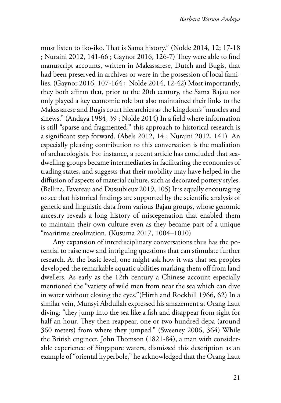must listen to iko-iko. That is Sama history." (Nolde 2014, 12; 17-18 ; Nuraini 2012, 141-66 ; Gaynor 2016, 126-7) They were able to find manuscript accounts, written in Makassarese, Dutch and Bugis, that had been preserved in archives or were in the possession of local families. (Gaynor 2016, 107-164 ; Nolde 2014, 12-42) Most importantly, they both affirm that, prior to the 20th century, the Sama Bajau not only played a key economic role but also maintained their links to the Makassarese and Bugis court hierarchies as the kingdom's "muscles and sinews." (Andaya 1984, 39 ; Nolde 2014) In a field where information is still "sparse and fragmented," this approach to historical research is a significant step forward. (Abels 2012, 14 ; Nuraini 2012, 141) An especially pleasing contribution to this conversation is the mediation of archaeologists. For instance, a recent article has concluded that seadwelling groups became intermediaries in facilitating the economies of trading states, and suggests that their mobility may have helped in the diffusion of aspects of material culture, such as decorated pottery styles. (Bellina, Favereau and Dussubieux 2019, 105) It is equally encouraging to see that historical findings are supported by the scientific analysis of genetic and linguistic data from various Bajau groups, whose genomic ancestry reveals a long history of miscegenation that enabled them to maintain their own culture even as they became part of a unique "maritime creolization. (Kusuma 2017, 1004–1010)

Any expansion of interdisciplinary conversations thus has the potential to raise new and intriguing questions that can stimulate further research. At the basic level, one might ask how it was that sea peoples developed the remarkable aquatic abilities marking them off from land dwellers. As early as the 12th century a Chinese account especially mentioned the "variety of wild men from near the sea which can dive in water without closing the eyes."(Hirth and Rockhill 1966, 62) In a similar vein, Munsyi Abdullah expressed his amazement at Orang Laut diving: "they jump into the sea like a fish and disappear from sight for half an hour. They then reappear, one or two hundred depa (around 360 meters) from where they jumped." (Sweeney 2006, 364) While the British engineer, John Thomson (1821-84), a man with considerable experience of Singapore waters, dismissed this description as an example of "oriental hyperbole," he acknowledged that the Orang Laut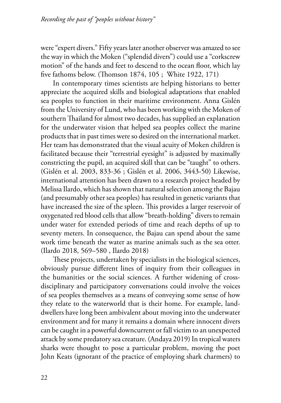were "expert divers." Fifty years later another observer was amazed to see the way in which the Moken ("splendid divers") could use a "corkscrew motion" of the hands and feet to descend to the ocean floor, which lay five fathoms below. (Thomson 1874, 105 ; White 1922, 171)

In contemporary times scientists are helping historians to better appreciate the acquired skills and biological adaptations that enabled sea peoples to function in their maritime environment. Anna Gislén from the University of Lund, who has been working with the Moken of southern Thailand for almost two decades, has supplied an explanation for the underwater vision that helped sea peoples collect the marine products that in past times were so desired on the international market. Her team has demonstrated that the visual acuity of Moken children is facilitated because their "terrestrial eyesight" is adjusted by maximally constricting the pupil, an acquired skill that can be "taught" to others. (Gislén et al. 2003, 833-36 ; Gislén et al. 2006, 3443-50) Likewise, international attention has been drawn to a research project headed by Melissa Ilardo, which has shown that natural selection among the Bajau (and presumably other sea peoples) has resulted in genetic variants that have increased the size of the spleen. This provides a larger reservoir of oxygenated red blood cells that allow "breath-holding" divers to remain under water for extended periods of time and reach depths of up to seventy meters. In consequence, the Bajau can spend about the same work time beneath the water as marine animals such as the sea otter. (Ilardo 2018, 569–580 , Ilardo 2018)

These projects, undertaken by specialists in the biological sciences, obviously pursue different lines of inquiry from their colleagues in the humanities or the social sciences. A further widening of crossdisciplinary and participatory conversations could involve the voices of sea peoples themselves as a means of conveying some sense of how they relate to the waterworld that is their home. For example, landdwellers have long been ambivalent about moving into the underwater environment and for many it remains a domain where innocent divers can be caught in a powerful downcurrent or fall victim to an unexpected attack by some predatory sea creature. (Andaya 2019) In tropical waters sharks were thought to pose a particular problem, moving the poet John Keats (ignorant of the practice of employing shark charmers) to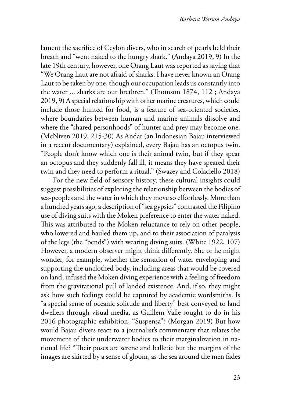lament the sacrifice of Ceylon divers, who in search of pearls held their breath and "went naked to the hungry shark." (Andaya 2019, 9) In the late 19th century, however, one Orang Laut was reported as saying that "We Orang Laut are not afraid of sharks. I have never known an Orang Laut to be taken by one, though our occupation leads us constantly into the water ... sharks are our brethren." (Thomson 1874, 112 ; Andaya 2019, 9) A special relationship with other marine creatures, which could include those hunted for food, is a feature of sea-oriented societies, where boundaries between human and marine animals dissolve and where the "shared personhoods" of hunter and prey may become one. (McNiven 2019, 215-30) As Andar (an Indonesian Bajau interviewed in a recent documentary) explained, every Bajau has an octopus twin. "People don't know which one is their animal twin, but if they spear an octopus and they suddenly fall ill, it means they have speared their twin and they need to perform a ritual." (Swazey and Colaciello 2018)

For the new field of sensory history, these cultural insights could suggest possibilities of exploring the relationship between the bodies of sea-peoples and the water in which they move so effortlessly. More than a hundred years ago, a description of "sea gypsies" contrasted the Filipino use of diving suits with the Moken preference to enter the water naked. This was attributed to the Moken reluctance to rely on other people, who lowered and hauled them up, and to their association of paralysis of the legs (the "bends") with wearing diving suits. (White 1922, 107) However, a modern observer might think differently. She or he might wonder, for example, whether the sensation of water enveloping and supporting the unclothed body, including areas that would be covered on land, infused the Moken diving experience with a feeling of freedom from the gravitational pull of landed existence. And, if so, they might ask how such feelings could be captured by academic wordsmiths. Is "a special sense of oceanic solitude and liberty" best conveyed to land dwellers through visual media, as Guillem Valle sought to do in his 2016 photographic exhibition, "Suspensa"? (Morgan 2019) But how would Bajau divers react to a journalist's commentary that relates the movement of their underwater bodies to their marginalization in national life? "Their poses are serene and balletic but the margins of the images are skirted by a sense of gloom, as the sea around the men fades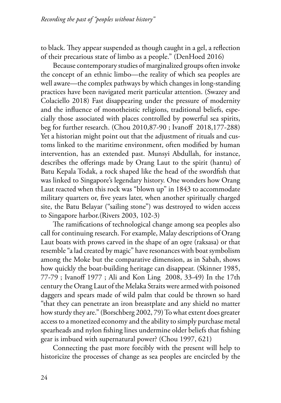to black. They appear suspended as though caught in a gel, a reflection of their precarious state of limbo as a people." (DenHoed 2016)

Because contemporary studies of marginalized groups often invoke the concept of an ethnic limbo—the reality of which sea peoples are well aware—the complex pathways by which changes in long-standing practices have been navigated merit particular attention. (Swazey and Colaciello 2018) Fast disappearing under the pressure of modernity and the influence of monotheistic religions, traditional beliefs, especially those associated with places controlled by powerful sea spirits, beg for further research. (Chou 2010,87-90 ; Ivanoff 2018,177-288) Yet a historian might point out that the adjustment of rituals and customs linked to the maritime environment, often modified by human intervention, has an extended past. Munsyi Abdullah, for instance, describes the offerings made by Orang Laut to the spirit (hantu) of Batu Kepala Todak, a rock shaped like the head of the swordfish that was linked to Singapore's legendary history. One wonders how Orang Laut reacted when this rock was "blown up" in 1843 to accommodate military quarters or, five years later, when another spiritually charged site, the Batu Belayar ("sailing stone") was destroyed to widen access to Singapore harbor.(Rivers 2003, 102-3)

The ramifications of technological change among sea peoples also call for continuing research. For example, Malay descriptions of Orang Laut boats with prows carved in the shape of an ogre (raksasa) or that resemble "a lad created by magic" have resonances with boat symbolism among the Moke but the comparative dimension, as in Sabah, shows how quickly the boat-building heritage can disappear. (Skinner 1985, 77-79 ; Ivanoff 1977 ; Ali and Kon Ling 2008, 33-49) In the 17th century the Orang Laut of the Melaka Straits were armed with poisoned daggers and spears made of wild palm that could be thrown so hard "that they can penetrate an iron breastplate and any shield no matter how sturdy they are." (Borschberg 2002, 79) To what extent does greater access to a monetized economy and the ability to simply purchase metal spearheads and nylon fishing lines undermine older beliefs that fishing gear is imbued with supernatural power? (Chou 1997, 621)

Connecting the past more forcibly with the present will help to historicize the processes of change as sea peoples are encircled by the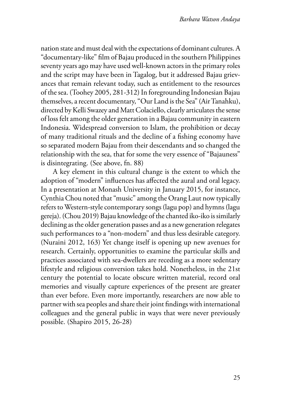nation state and must deal with the expectations of dominant cultures. A "documentary-like" film of Bajau produced in the southern Philippines seventy years ago may have used well-known actors in the primary roles and the script may have been in Tagalog, but it addressed Bajau grievances that remain relevant today, such as entitlement to the resources of the sea. (Toohey 2005, 281-312) In foregrounding Indonesian Bajau themselves, a recent documentary, "Our Land is the Sea" (Air Tanahku), directed by Kelli Swazey and Matt Colaciello, clearly articulates the sense of loss felt among the older generation in a Bajau community in eastern Indonesia. Widespread conversion to Islam, the prohibition or decay of many traditional rituals and the decline of a fishing economy have so separated modern Bajau from their descendants and so changed the relationship with the sea, that for some the very essence of "Bajauness" is disintegrating. (See above, fn. 88)

A key element in this cultural change is the extent to which the adoption of "modern" influences has affected the aural and oral legacy. In a presentation at Monash University in January 2015, for instance, Cynthia Chou noted that "music" among the Orang Laut now typically refers to Western-style contemporary songs (lagu pop) and hymns (lagu gereja). (Chou 2019) Bajau knowledge of the chanted iko-iko is similarly declining as the older generation passes and as a new generation relegates such performances to a "non-modern" and thus less desirable category. (Nuraini 2012, 163) Yet change itself is opening up new avenues for research. Certainly, opportunities to examine the particular skills and practices associated with sea-dwellers are receding as a more sedentary lifestyle and religious conversion takes hold. Nonetheless, in the 21st century the potential to locate obscure written material, record oral memories and visually capture experiences of the present are greater than ever before. Even more importantly, researchers are now able to partner with sea peoples and share their joint findings with international colleagues and the general public in ways that were never previously possible. (Shapiro 2015, 26-28)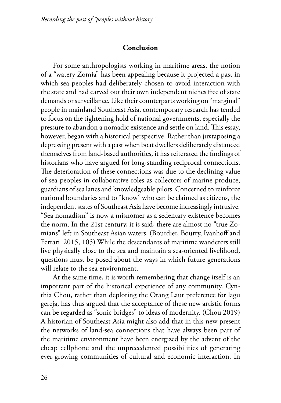#### **Conclusion**

For some anthropologists working in maritime areas, the notion of a "watery Zomia" has been appealing because it projected a past in which sea peoples had deliberately chosen to avoid interaction with the state and had carved out their own independent niches free of state demands or surveillance. Like their counterparts working on "marginal" people in mainland Southeast Asia, contemporary research has tended to focus on the tightening hold of national governments, especially the pressure to abandon a nomadic existence and settle on land. This essay, however, began with a historical perspective. Rather than juxtaposing a depressing present with a past when boat dwellers deliberately distanced themselves from land-based authorities, it has reiterated the findings of historians who have argued for long-standing reciprocal connections. The deterioration of these connections was due to the declining value of sea peoples in collaborative roles as collectors of marine produce, guardians of sea lanes and knowledgeable pilots. Concerned to reinforce national boundaries and to "know" who can be claimed as citizens, the independent states of Southeast Asia have become increasingly intrusive. "Sea nomadism" is now a misnomer as a sedentary existence becomes the norm. In the 21st century, it is said, there are almost no "true Zomians" left in Southeast Asian waters. (Bourdier, Boutry, Ivanhoff and Ferrari 2015, 105) While the descendants of maritime wanderers still live physically close to the sea and maintain a sea-oriented livelihood, questions must be posed about the ways in which future generations will relate to the sea environment.

At the same time, it is worth remembering that change itself is an important part of the historical experience of any community. Cynthia Chou, rather than deploring the Orang Laut preference for lagu gereja, has thus argued that the acceptance of these new artistic forms can be regarded as "sonic bridges" to ideas of modernity. (Chou 2019) A historian of Southeast Asia might also add that in this new present the networks of land-sea connections that have always been part of the maritime environment have been energized by the advent of the cheap cellphone and the unprecedented possibilities of generating ever-growing communities of cultural and economic interaction. In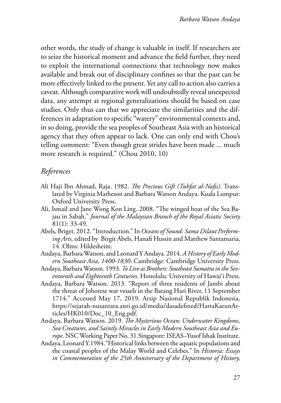other words, the study of change is valuable in itself. If researchers are to seize the historical moment and advance the field further, they need to exploit the international connections that technology now makes available and break out of disciplinary confines so that the past can be more effectively linked to the present. Yet any call to action also carries a caveat. Although comparative work will undoubtedly reveal unexpected data, any attempt at regional generalizations should be based on case studies. Only thus can that we appreciate the similarities and the differences in adaptation to specific "watery" environmental contexts and, in so doing, provide the sea peoples of Southeast Asia with an historical agency that they often appear to lack. One can only end with Chou's telling comment: "Even though great strides have been made ... much more research is required." (Chou 2010, 10)

## *References*

- Ali Haji Ibn Ahmad, Raja. 1982. *The Precious Gift (Tuhfat al-Nafis)*. Translated by Virginia Matheson and Barbara Watson Andaya. Kuala Lumpur: Oxford University Press.
- Ali, Ismail and Jane Wong Kon Ling. 2008. "The winged boat of the Sea Bajau in Sabah." *Journal of the Malaysian Branch of the Royal Asiatic Society* 81(1): 33-49.
- Abels, Briget. 2012. "Introduction." In *Oceans of Sound: Sama Dilaut Performing Arts,* edited by Birgit Abels, Hanafi Hussin and Matthew Santamaria, 14 .Olms: Hildesheim.
- Andaya, Barbara Watson, and Leonard Y Andaya. 2014. *A History of Early Modern Southeast Asia, 1400-1830*. Cambridge: Cambridge University Press.
- Andaya, Barbara Watson. 1993. *To Live as Brothers: Southeast Sumatra in the Seventeenth and Eighteenth Centuries.* Honolulu: University of Hawai'i Press.
- Andaya, Barbara Watson. 2013. "Report of three residents of Jambi about the threat of Johorese war vessels in the Batang Hari River, 11 September 1714." Accessed May 17, 2019. Arsip Nasional Republik Indonesia, https://sejarah-nusantara.anri.go.id/media/dasadefined/HartaKarunArticles/HK010/Doc\_10\_Eng.pdf.
- Andaya, Barbara Watson. 2019. *The Mysterious Ocean: Underwater Kingdoms, Sea Creatures, and Saintly Miracles in Early Modern Southeast Asia and Europe*. NSC Working Paper No. 31.Singapore: ISEAS–Yusof Ishak Institute.
- Andaya, Leonard Y.1984."Historical links between the aquatic populations and the coastal peoples of the Malay World and Celebes." In *Historia: Essays in Commemoration of the 25th Anniversary of the Department of History,*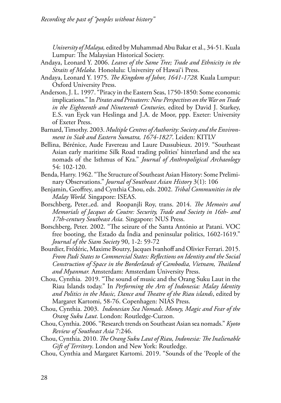*University of Malaya,* edited by Muhammad Abu Bakar et al., 34-51. Kuala Lumpur: The Malaysian Historical Society.

- Andaya, Leonard Y. 2006. *Leaves of the Same Tree; Trade and Ethnicity in the Straits of Melaka.* Honolulu: University of Hawai'i Press.
- Andaya, Leonard Y. 1975. *The Kingdom of Johor, 1641-1728.* Kuala Lumpur: Oxford University Press.
- Anderson, J. L. 1997. "Piracy in the Eastern Seas, 1750-1850: Some economic implications." In *Pirates and Privateers: New Perspectives on the War on Trade in the Eighteenth and Nineteenth Centuries,* edited by David J. Starkey, E.S. van Eyck van Heslinga and J.A. de Moor, ppp. Exeter: University of Exeter Press.
- Barnard, Timothy. 2003. *Multiple Centres of Authority: Society and the Environment in Siak and Eastern Sumatra, 1674-1827*. Leiden: KITLV
- Bellina, Bérénice, Aude Favereau and Laure Dussubieux. 2019. "Southeast Asian early maritime Silk Road trading polities' hinterland and the sea nomads of the Isthmus of Kra." *Journal of Anthropoligical Archaeology*  54: 102-120.
- Benda, Harry. 1962. "The Structure of Southeast Asian History: Some Preliminary Observations." *Journal of Southeast Asian History* 3(1): 106
- Benjamin, Geoffrey, and Cynthia Chou, eds. 2002. *Tribal Communities in the Malay World.* Singapore: ISEAS.
- Borschberg, Peter.,ed. and Roopanjli Roy, trans. 2014. *The Memoirs and Memorials of Jacques de Coutre: Security, Trade and Society in 16th- and 17th-century Southeast Asia.* Singapore: NUS Press.
- Borschberg, Peter. 2002. "The seizure of the Santa António at Patani. VOC free booting, the Estado da Índia and peninsular politics, 1602-1619." *Journal of the Siam Society* 90, 1-2: 59-72
- Bourdier, Frédéric, Maxime Boutry, Jacques Ivanhoff and Olivier Ferrari. 2015. *From Padi States to Commercial States: Reflections on Identity and the Social Construction of Space in the Borderlands of Cambodia, Vietnam, Thailand and Myanmar.* Amsterdam: Amsterdam University Press.
- Chou, Cynthia. 2019. "The sound of music and the Orang Suku Laut in the Riau Islands today." In *Performing the Arts of Indonesia: Malay Identity and Politics in the Music, Dance and Theatre of the Riau islands*, edited by Margaret Kartomi, 58-76. Copenhagen: NIAS Press.
- Chou, Cynthia. 2003. *Indonesian Sea Nomads. Money, Magic and Fear of the Orang Suku Laut*. London: Routledge-Curzon.
- Chou, Cynthia. 2006. "Research trends on Southeast Asian sea nomads." *Kyoto Review of Southeast Asia* 7:246.
- Chou, Cynthia. 2010. *The Orang Suku Laut of Riau, Indonesia: The Inalienable Gift of Territory*. London and New York: Routledge.
- Chou, Cynthia and Margaret Kartomi. 2019. "Sounds of the 'People of the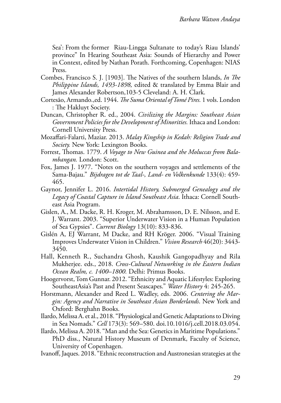Sea': From the former Riau-Lingga Sultanate to today's Riau Islands' province" In Hearing Southeast Asia: Sounds of Hierarchy and Power in Context, edited by Nathan Porath. Forthcoming, Copenhagen: NIAS Press.

- Combes, Francisco S. J. [1903]. The Natives of the southern Islands, *In The Philippine Islands, 1493-1898,* edited & translated by Emma Blair and James Alexander Robertson,103-5 Cleveland: A. H. Clark.
- Cortesão, Armando.,ed. 1944. *The Suma Oriental of Tomé Pires.* 1 vols. London : The Hakluyt Society.
- Duncan, Christopher R. ed., 2004. *Civilizing the Margins: Southeast Asian Government Policies for the Development of Minorities.* Ithaca and London: Cornell University Press.
- Mozaffari-Falarti, Maziar. 2013. *Malay Kingship in Kedah: Religion Trade and Society.* New York: Lexington Books.
- Forrest, Thomas. 1779. *A Voyage to New Guinea and the Moluccas from Balambangan.* London: Scott.
- Fox, James J. 1977. "Notes on the southern voyages and settlements of the Sama-Bajau." *Bijdragen tot de Taal-, Land- en Volkenkunde* 133(4): 459- 465.
- Gaynor, Jennifer L. 2016. *Intertidal History, Submerged Genealogy and the Legacy of Coastal Capture in Island Southeast Asia*. Ithaca: Cornell Southeast Asia Program.
- Gislen, A., M. Dacke, R. H. Kroger, M. Abrahamsson, D. E. Nilsson, and E. J. Warrant. 2003. "Superior Underwater Vision in a Human Population of Sea Gypsies". *Current Biology* 13(10): 833-836.
- Gislén A, EJ Warrant, M Dacke, and RH Kröger. 2006. "Visual Training Improves Underwater Vision in Children." *Vision Research* 46(20): 3443- 3450.
- Hall, Kenneth R., Suchandra Ghosh, Kaushik Gangopadhyay and Rila Mukherjee. eds., 2018. *Cross-Cultural Networking in the Eastern Indian Ocean Realm, c. 1400–1800.* Delhi: Primus Books.
- Hoogervorst, Tom Gunnar. 2012. "Ethnicity and Aquatic Lifestyles: Exploring SoutheastAsia's Past and Present Seascapes." *Water History* 4: 245-265.
- Horstmann, Alexander and Reed L. Wadley, eds. 2006. *Centering the Margin: Agency and Narrative in Southeast Asian Borderlands*. New York and Oxford: Berghahn Books.
- Ilardo, Melissa A. et al., 2018. "Physiological and Genetic Adaptations to Diving in Sea Nomads." *Cell* 173(3): 569–580. doi.10.1016/j.cell.2018.03.054.
- Ilardo, Melissa A. 2018. "Man and the Sea: Genetics in Maritime Populations." PhD diss., Natural History Museum of Denmark, Faculty of Science, University of Copenhagen.
- Ivanoff, Jaques. 2018. "Ethnic reconstruction and Austronesian strategies at the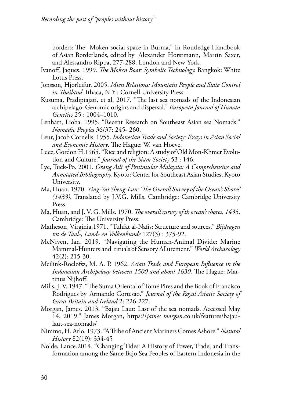borders: The Moken social space in Burma," In Routledge Handbook of Asian Borderlands, edited by Alexander Horstmann, Martin Saxer, and Alessandro Rippa, 277-288. London and New York.

- Ivanoff, Jaques. 1999. *The Moken Boat: Symbolic Technology.* Bangkok: White Lotus Press.
- Jonsson, Hjorleifur. 2005. *Mien Relations: Mountain People and State Control in Thailand*. Ithaca, N.Y.: Cornell University Press.
- Kusuma, Pradiptajati. et al. 2017. "The last sea nomads of the Indonesian archipelago: Genomic origins and dispersal." *European Journal of Human Genetics* 25 : 1004–1010.
- Lenhart, Lioba. 1995. "Recent Research on Southeast Asian sea Nomads." *Nomadic Peoples* 36/37: 245- 260.
- Leur, Jacob Cornelis. 1955. *Indonesian Trade and Society: Essays in Asian Social and Economic History*. The Hague: W. van Hoeve.
- Luce, Gordon H.1965. "Rice and religion: A study of Old Mon-Khmer Evolution and Culture." *Journal of the Siam Society* 53 : 146.
- Lye, Tuck-Po. 2001. *Orang Asli of Peninsular Malaysia: A Comprehensive and Annotated Bibliography.* Kyoto: Center for Southeast Asian Studies, Kyoto University.
- Ma, Huan. 1970. *Ying-Yai Sheng-Lan: 'The Overall Survey of the Ocean's Shores' (1433).* Translated by J.V.G. Mills. Cambridge: Cambridge University Press.
- Ma, Huan, and J. V. G. Mills. 1970. *The overall survey of th ocean's shores, 1433*. Cambridge: The University Press.
- Matheson, Virginia.1971. "Tuhfat al-Nafis: Structure and sources." *Bijdragen tot de Taal-, Land- en Volkenkunde* 127(3) : 375-92.
- McNiven, Ian. 2019. "Navigating the Human-Animal Divide: Marine Mammal-Hunters and rituals of Sensory Allurement." *World Archaeology*  42(2): 215-30.
- Meilink-Roelofsz, M. A. P. 1962. *Asian Trade and European Influence in the Indonesian Archipelago between 1500 and about 1630.* The Hague: Martinus Nijhoff.
- Mills, J. V. 1947. "The Suma Oriental of Tomé Pires and the Book of Francisco Rodrigues by Armando Cortesāo." *Journal of the Royal Asiatic Society of Great Britain and Ireland* 2: 226-227.
- Morgan, James. 2013. "Bajau Laut: Last of the sea nomads. Accessed May 14, 2019." James Morgan, https://*james morgan*.co.uk/features/bajaulaut-sea-nomads/
- Nimmo, H. Arlo. 1973. "A Tribe of Ancient Mariners Comes Ashore." *Natural History* 82(19): 334-45
- Nolde, Lance.2014. "Changing Tides: A History of Power, Trade, and Transformation among the Same Bajo Sea Peoples of Eastern Indonesia in the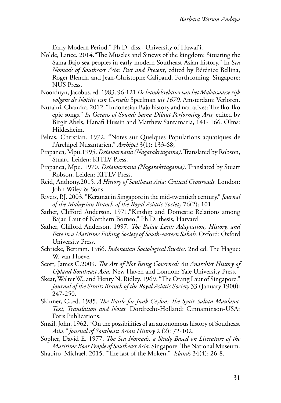Early Modern Period." Ph.D. diss., University of Hawai'i.

- Nolde, Lance. 2014."The Muscles and Sinews of the kingdom: Situating the Sama Bajo sea peoples in early modern Southeast Asian history." In S*ea Nomads of Southeast Asia: Past and Present*, edited by Bérénice Bellina, Roger Blench, and Jean-Christophe Galipaud. Forthcoming, Singapore: NUS Press.
- Noorduyn, Jacobus. ed. 1983. 96-121 *De handelsrelaties van het Makassaarse rijk volgens de Notitie van Cornelis* Speelman *uit 1670.* Amsterdam: Verloren.
- Nuraini, Chandra. 2012. "Indonesian Bajo history and narratives: The Iko-Iko epic songs." *In Oceans of Sound: Sama Dilaut Performing Arts,* edited by Birgit Abels, Hanafi Hussin and Matthew Santamaria, 141- 166. Olms: Hildesheim.
- Pelras, Christian. 1972. "Notes sur Quelques Populations aquatiques de l'Archipel Nusantarien." *Archipel* 3(1): 133-68;
- Prapanca, Mpu.1995. *Deśawarnana (Nagarakrtagama)*. Translated by Robson, Stuart. Leiden: KITLV Press.
- Prapanca, Mpu. 1970. *Deśawarnana (Nagarakrtagama)*. Translated by Stuart Robson. Leiden: KITLV Press.
- Reid, Anthony.2015. *A History of Southeast Asia: Critical Crossroads.* London: John Wiley & Sons.
- Rivers, P.J. 2003. "Keramat in Singapore in the mid-twentieth century." *Journal of the Malaysian Branch of the Royal Asiatic Society* 76(2): 101.
- Sather, Clifford Anderson. 1971."Kinship and Domestic Relations among Bajau Laut of Northern Borneo," Ph.D. thesis, Harvard
- Sather, Clifford Anderson. 1997. *The Bajau Laut: Adaptation, History, and Fate in a Maritime Fishing Society of South-eastern Sabah.* Oxford: Oxford University Press.
- Schrieke, Bertram. 1966. *Indonesian Sociological Studies.* 2nd ed. The Hague: W. van Hoeve.
- Scott, James C.2009. *The Art of Not Being Governed: An Anarchist History of Upland Southeast Asia.* New Haven and London: Yale University Press.
- Skeat, Walter W., and Henry N. Ridley. 1969. "The Orang Laut of Singapore." *Journal of the Straits Branch of the Royal Asiatic Society* 33 (January 1900): 247-250.
- Skinner, C,.ed. 1985. *The Battle for Junk Ceylon: The Syair Sultan Maulana. Text, Translation and Notes.* Dordrecht-Holland: Cinnaminson-USA: Foris Publications.
- Smail, John. 1962. "On the possibilities of an autonomous history of Southeast *Asia." Journal of Southeast Asian History* 2 (2): 72-102.
- Sopher, David E. 1977. *The Sea Nomads, a Study Based on Literature of the Maritime Boat People of Southeast Asia*. Singapore: The National Museum.
- Shapiro, Michael. 2015. "The last of the Moken." *Islands* 34(4): 26-8.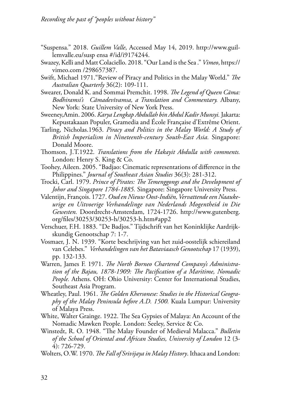- "Suspensa." 2018. *Guillem Valle*, Accessed May 14, 2019. http://www.guillemvalle.eu/susp ensa #/id/i9174244.
- Swazey, Kelli and Matt Colaciello. 2018. "Our Land is the Sea ." *Vimeo*, https:// vimeo.com /298657387.
- Swift, Michael 1971."Review of Piracy and Politics in the Malay World." *The Australian Quarterly* 36(2): 109-111.
- Swearer, Donald K. and Sommai Premchit. 1998. *The Legend of Queen Cāma: Bodhiramsi's Cāmadevīvamsa, a Translation and Commentary.* Albany, New York: State University of New York Press.
- Sweeney,Amin. 2006. *Karya Lengkap Abdullah bin Abdul Kadir Munsyi.* Jakarta: Kepustakaaan Populer, Gramedia and École Française d'Extrême Orient.
- Tarling, Nicholas.1963. *Piracy and Politics in the Malay World: A Study of British Imperialism in Nineteenth-century South-East Asia.* Singapore: Donald Moore.
- Thomson, J.T.1922. *Translations from the Hakayit Abdulla with comments.*  London: Henry S. King & Co.
- Toohey, Aileen. 2005. "Badjao: Cinematic representations of difference in the Philippines." *Journal of Southeast Asian Studies* 36(3): 281-312.
- Trocki, Carl. 1979. *Prince of Pirates: The Temenggongs and the Development of Johor and Singapore 1784-1885.* Singapore: Singapore University Press.
- Valentijn, François. 1727. *Oud en Nieuw Oost-Indiën, Vervattende een Naaukeurige en Uitvoerige Verhandelinge van Nederlands Mogentheid in Die Gewesten.* Doordrecht-Amsterdam, 1724-1726. http://www.gutenberg. org/files/30253/30253-h/30253-h.htm#app2
- Verschuer, F.H. 1883. "De Badjos." Tijdschrift van het Koninklijke Aardrijkskundig Genootschap 7: 1-7.
- Vosmaer, J. N. 1939. "Korte beschrijving van het zuid-oostelijk schiereiland van Celebes." *Verhandelingen van het Bataviaasch Genootschap* 17 (1939), pp. 132-133.
- Warren, James F. 1971. *The North Borneo Chartered Company's Administration of the Bajau, 1878-1909: The Pacification of a Maritime, Nomadic People.* Athens. OH: Ohio University: Center for International Studies, Southeast Asia Program.
- Wheatley, Paul. 1961. *The Golden Khersonese: Studies in the Historical Geography of the Malay Peninsula before A.D. 1500.* Kuala Lumpur: University of Malaya Press.
- White, Walter Grainge. 1922. The Sea Gypsies of Malaya: An Account of the Nomadic Mawken People. London: Seeley, Service & Co.
- Winstedt, R. O. 1948. "The Malay Founder of Medieval Malacca." *Bulletin of the School of Oriental and African Studies, University of London* 12 (3- 4): 726-729.
- Wolters, O.W. 1970. *The Fall of Srivijaya in Malay History*. Ithaca and London: